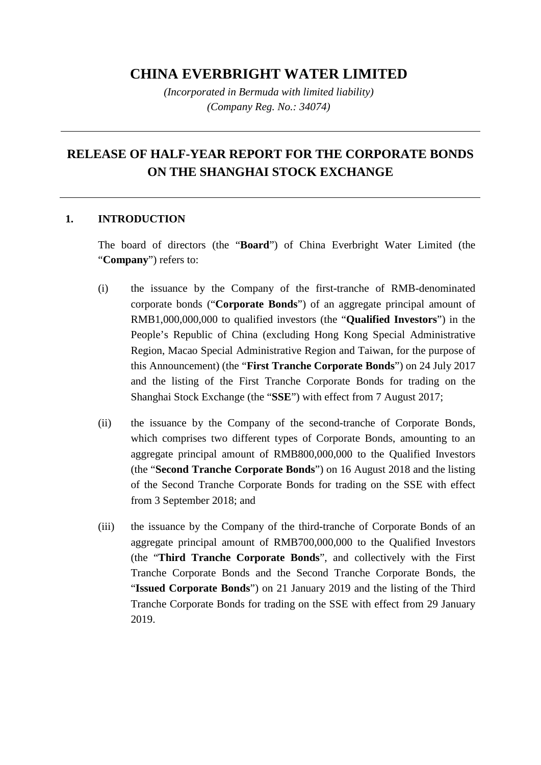## **CHINA EVERBRIGHT WATER LIMITED**

*(Incorporated in Bermuda with limited liability) (Company Reg. No.: 34074)*

## **RELEASE OF HALF-YEAR REPORT FOR THE CORPORATE BONDS ON THE SHANGHAI STOCK EXCHANGE**

## **1. INTRODUCTION**

The board of directors (the "**Board**") of China Everbright Water Limited (the "**Company**") refers to:

- (i) the issuance by the Company of the first-tranche of RMB-denominated corporate bonds ("**Corporate Bonds**") of an aggregate principal amount of RMB1,000,000,000 to qualified investors (the "**Qualified Investors**") in the People's Republic of China (excluding Hong Kong Special Administrative Region, Macao Special Administrative Region and Taiwan, for the purpose of this Announcement) (the "**First Tranche Corporate Bonds**") on 24 July 2017 and the listing of the First Tranche Corporate Bonds for trading on the Shanghai Stock Exchange (the "**SSE**") with effect from 7 August 2017;
- (ii) the issuance by the Company of the second-tranche of Corporate Bonds, which comprises two different types of Corporate Bonds, amounting to an aggregate principal amount of RMB800,000,000 to the Qualified Investors (the "**Second Tranche Corporate Bonds**") on 16 August 2018 and the listing of the Second Tranche Corporate Bonds for trading on the SSE with effect from 3 September 2018; and
- (iii) the issuance by the Company of the third-tranche of Corporate Bonds of an aggregate principal amount of RMB700,000,000 to the Qualified Investors (the "**Third Tranche Corporate Bonds**", and collectively with the First Tranche Corporate Bonds and the Second Tranche Corporate Bonds, the "**Issued Corporate Bonds**") on 21 January 2019 and the listing of the Third Tranche Corporate Bonds for trading on the SSE with effect from 29 January 2019.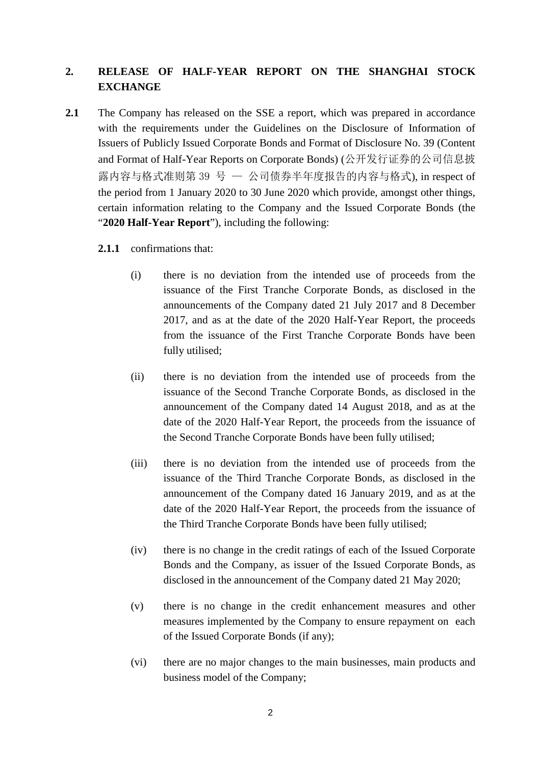## **2. RELEASE OF HALF-YEAR REPORT ON THE SHANGHAI STOCK EXCHANGE**

- **2.1** The Company has released on the SSE a report, which was prepared in accordance with the requirements under the Guidelines on the Disclosure of Information of Issuers of Publicly Issued Corporate Bonds and Format of Disclosure No. 39 (Content and Format of Half-Year Reports on Corporate Bonds) (公开发行证券的公司信息披 露内容与格式准则第 39 号 — 公司债券半年度报告的内容与格式), in respect of the period from 1 January 2020 to 30 June 2020 which provide, amongst other things, certain information relating to the Company and the Issued Corporate Bonds (the "**2020 Half-Year Report**"), including the following:
	- **2.1.1** confirmations that:
		- (i) there is no deviation from the intended use of proceeds from the issuance of the First Tranche Corporate Bonds, as disclosed in the announcements of the Company dated 21 July 2017 and 8 December 2017, and as at the date of the 2020 Half-Year Report, the proceeds from the issuance of the First Tranche Corporate Bonds have been fully utilised;
		- (ii) there is no deviation from the intended use of proceeds from the issuance of the Second Tranche Corporate Bonds, as disclosed in the announcement of the Company dated 14 August 2018, and as at the date of the 2020 Half-Year Report, the proceeds from the issuance of the Second Tranche Corporate Bonds have been fully utilised;
		- (iii) there is no deviation from the intended use of proceeds from the issuance of the Third Tranche Corporate Bonds, as disclosed in the announcement of the Company dated 16 January 2019, and as at the date of the 2020 Half-Year Report, the proceeds from the issuance of the Third Tranche Corporate Bonds have been fully utilised;
		- (iv) there is no change in the credit ratings of each of the Issued Corporate Bonds and the Company, as issuer of the Issued Corporate Bonds, as disclosed in the announcement of the Company dated 21 May 2020;
		- (v) there is no change in the credit enhancement measures and other measures implemented by the Company to ensure repayment on each of the Issued Corporate Bonds (if any);
		- (vi) there are no major changes to the main businesses, main products and business model of the Company;